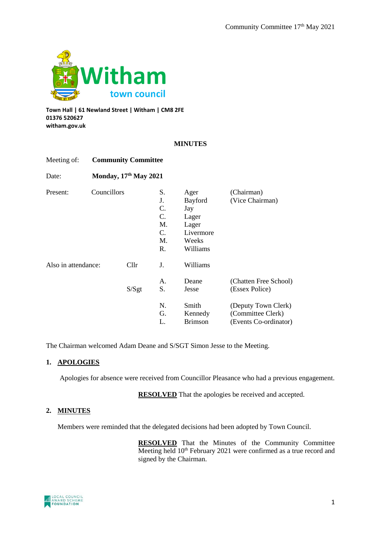

**Town Hall | 61 Newland Street | Witham | CM8 2FE 01376 520627 witham.gov.uk**

## **MINUTES**

| Meeting of:                     |                              | <b>Community Committee</b> |                |                                                                            |                                                                   |  |
|---------------------------------|------------------------------|----------------------------|----------------|----------------------------------------------------------------------------|-------------------------------------------------------------------|--|
| Date:                           | <b>Monday, 17th May 2021</b> |                            |                |                                                                            |                                                                   |  |
| Present:<br>Also in attendance: |                              | Councillors                |                | Ager<br>Bayford<br>Jay<br>Lager<br>Lager<br>Livermore<br>Weeks<br>Williams | (Chairman)<br>(Vice Chairman)                                     |  |
|                                 |                              | Cllr<br>S/Sgt              | J.<br>Α.<br>S. | Williams<br>Deane<br>Jesse                                                 | (Chatten Free School)<br>(Essex Police)                           |  |
|                                 |                              |                            | N.<br>G.<br>L. | Smith<br>Kennedy<br><b>Brimson</b>                                         | (Deputy Town Clerk)<br>(Committee Clerk)<br>(Events Co-ordinator) |  |

The Chairman welcomed Adam Deane and S/SGT Simon Jesse to the Meeting.

## **1. APOLOGIES**

Apologies for absence were received from Councillor Pleasance who had a previous engagement.

**RESOLVED** That the apologies be received and accepted.

## **2. MINUTES**

Members were reminded that the delegated decisions had been adopted by Town Council.

**RESOLVED** That the Minutes of the Community Committee Meeting held 10<sup>th</sup> February 2021 were confirmed as a true record and signed by the Chairman.

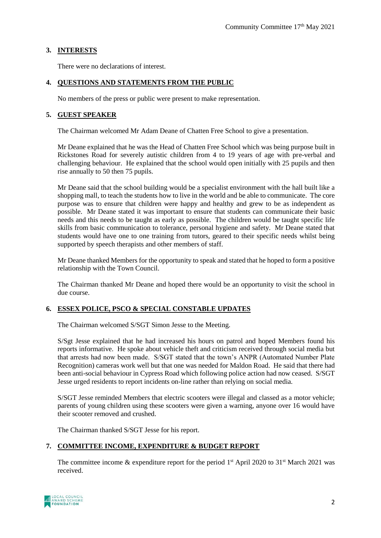## **3. INTERESTS**

There were no declarations of interest.

## **4. QUESTIONS AND STATEMENTS FROM THE PUBLIC**

No members of the press or public were present to make representation.

## **5. GUEST SPEAKER**

The Chairman welcomed Mr Adam Deane of Chatten Free School to give a presentation.

Mr Deane explained that he was the Head of Chatten Free School which was being purpose built in Rickstones Road for severely autistic children from 4 to 19 years of age with pre-verbal and challenging behaviour. He explained that the school would open initially with 25 pupils and then rise annually to 50 then 75 pupils.

Mr Deane said that the school building would be a specialist environment with the hall built like a shopping mall, to teach the students how to live in the world and be able to communicate. The core purpose was to ensure that children were happy and healthy and grew to be as independent as possible. Mr Deane stated it was important to ensure that students can communicate their basic needs and this needs to be taught as early as possible. The children would be taught specific life skills from basic communication to tolerance, personal hygiene and safety. Mr Deane stated that students would have one to one training from tutors, geared to their specific needs whilst being supported by speech therapists and other members of staff.

Mr Deane thanked Members for the opportunity to speak and stated that he hoped to form a positive relationship with the Town Council.

The Chairman thanked Mr Deane and hoped there would be an opportunity to visit the school in due course.

## **6. ESSEX POLICE, PSCO & SPECIAL CONSTABLE UPDATES**

The Chairman welcomed S/SGT Simon Jesse to the Meeting.

S/Sgt Jesse explained that he had increased his hours on patrol and hoped Members found his reports informative. He spoke about vehicle theft and criticism received through social media but that arrests had now been made. S/SGT stated that the town's ANPR (Automated Number Plate Recognition) cameras work well but that one was needed for Maldon Road. He said that there had been anti-social behaviour in Cypress Road which following police action had now ceased. S/SGT Jesse urged residents to report incidents on-line rather than relying on social media.

S/SGT Jesse reminded Members that electric scooters were illegal and classed as a motor vehicle; parents of young children using these scooters were given a warning, anyone over 16 would have their scooter removed and crushed.

The Chairman thanked S/SGT Jesse for his report.

## **7. COMMITTEE INCOME, EXPENDITURE & BUDGET REPORT**

The committee income  $\&$  expenditure report for the period 1<sup>st</sup> April 2020 to 31<sup>st</sup> March 2021 was received.

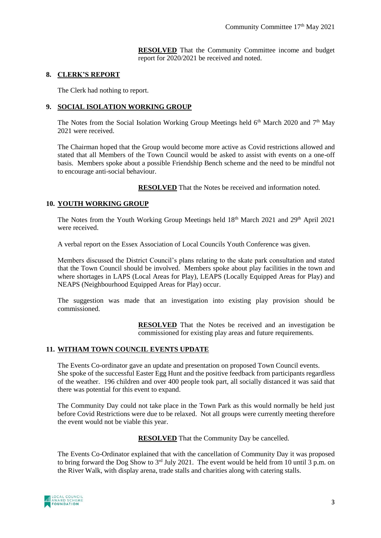**RESOLVED** That the Community Committee income and budget report for 2020/2021 be received and noted.

#### **8. CLERK'S REPORT**

The Clerk had nothing to report.

## **9. SOCIAL ISOLATION WORKING GROUP**

The Notes from the Social Isolation Working Group Meetings held  $6<sup>th</sup>$  March 2020 and 7<sup>th</sup> May 2021 were received.

The Chairman hoped that the Group would become more active as Covid restrictions allowed and stated that all Members of the Town Council would be asked to assist with events on a one-off basis. Members spoke about a possible Friendship Bench scheme and the need to be mindful not to encourage anti-social behaviour.

**RESOLVED** That the Notes be received and information noted.

## **10. YOUTH WORKING GROUP**

The Notes from the Youth Working Group Meetings held 18<sup>th</sup> March 2021 and 29<sup>th</sup> April 2021 were received.

A verbal report on the Essex Association of Local Councils Youth Conference was given.

Members discussed the District Council's plans relating to the skate park consultation and stated that the Town Council should be involved. Members spoke about play facilities in the town and where shortages in LAPS (Local Areas for Play), LEAPS (Locally Equipped Areas for Play) and NEAPS (Neighbourhood Equipped Areas for Play) occur.

The suggestion was made that an investigation into existing play provision should be commissioned.

> **RESOLVED** That the Notes be received and an investigation be commissioned for existing play areas and future requirements.

## **11. WITHAM TOWN COUNCIL EVENTS UPDATE**

The Events Co-ordinator gave an update and presentation on proposed Town Council events. She spoke of the successful Easter Egg Hunt and the positive feedback from participants regardless of the weather. 196 children and over 400 people took part, all socially distanced it was said that there was potential for this event to expand.

The Community Day could not take place in the Town Park as this would normally be held just before Covid Restrictions were due to be relaxed. Not all groups were currently meeting therefore the event would not be viable this year.

**RESOLVED** That the Community Day be cancelled.

The Events Co-Ordinator explained that with the cancellation of Community Day it was proposed to bring forward the Dog Show to  $3^{rd}$  July 2021. The event would be held from 10 until  $\overline{3}$  p.m. on the River Walk, with display arena, trade stalls and charities along with catering stalls.

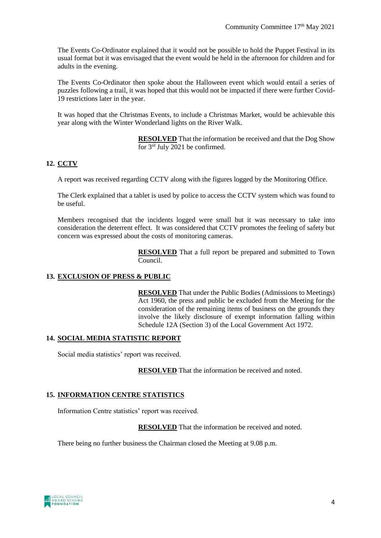The Events Co-Ordinator explained that it would not be possible to hold the Puppet Festival in its usual format but it was envisaged that the event would be held in the afternoon for children and for adults in the evening.

The Events Co-Ordinator then spoke about the Halloween event which would entail a series of puzzles following a trail, it was hoped that this would not be impacted if there were further Covid-19 restrictions later in the year.

It was hoped that the Christmas Events, to include a Christmas Market, would be achievable this year along with the Winter Wonderland lights on the River Walk.

> **RESOLVED** That the information be received and that the Dog Show for 3rd July 2021 be confirmed.

# **12. CCTV**

A report was received regarding CCTV along with the figures logged by the Monitoring Office.

The Clerk explained that a tablet is used by police to access the CCTV system which was found to be useful.

Members recognised that the incidents logged were small but it was necessary to take into consideration the deterrent effect. It was considered that CCTV promotes the feeling of safety but concern was expressed about the costs of monitoring cameras.

> **RESOLVED** That a full report be prepared and submitted to Town Council.

## **13. EXCLUSION OF PRESS & PUBLIC**

**RESOLVED** That under the Public Bodies (Admissions to Meetings) Act 1960, the press and public be excluded from the Meeting for the consideration of the remaining items of business on the grounds they involve the likely disclosure of exempt information falling within Schedule 12A (Section 3) of the Local Government Act 1972.

#### **14. SOCIAL MEDIA STATISTIC REPORT**

Social media statistics' report was received.

**RESOLVED** That the information be received and noted.

## **15. INFORMATION CENTRE STATISTICS**

Information Centre statistics' report was received.

**RESOLVED** That the information be received and noted.

There being no further business the Chairman closed the Meeting at 9.08 p.m.